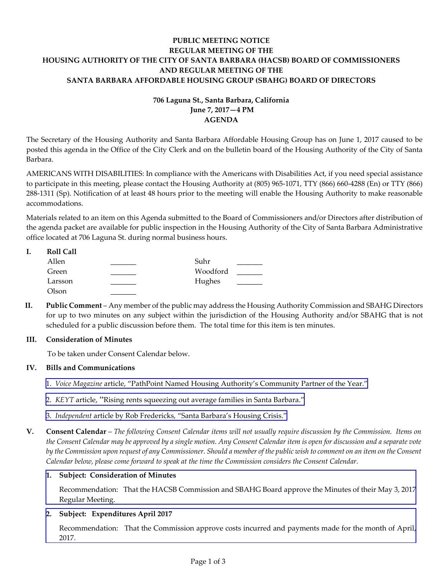# **PUBLIC MEETING NOTICE REGULAR MEETING OF THE HOUSING AUTHORITY OF THE CITY OF SANTA BARBARA (HACSB) BOARD OF COMMISSIONERS AND REGULAR MEETING OF THE SANTA BARBARA AFFORDABLE HOUSING GROUP (SBAHG) BOARD OF DIRECTORS**

# **706 Laguna St., Santa Barbara, California June 7, 2017—4 PM AGENDA**

The Secretary of the Housing Authority and Santa Barbara Affordable Housing Group has on June 1, 2017 caused to be posted this agenda in the Office of the City Clerk and on the bulletin board of the Housing Authority of the City of Santa Barbara.

AMERICANS WITH DISABILITIES: In compliance with the Americans with Disabilities Act, if you need special assistance to participate in this meeting, please contact the Housing Authority at (805) 965‐1071, TTY (866) 660‐4288 (En) or TTY (866) 288‐1311 (Sp). Notification of at least 48 hours prior to the meeting will enable the Housing Authority to make reasonable accommodations.

Materials related to an item on this Agenda submitted to the Board of Commissioners and/or Directors after distribution of the agenda packet are available for public inspection in the Housing Authority of the City of Santa Barbara Administrative office located at 706 Laguna St. during normal business hours.

| Ι. | <b>Roll Call</b> |          |  |
|----|------------------|----------|--|
|    | Allen            | Suhr     |  |
|    | Green            | Woodford |  |
|    | Larsson          | Hughes   |  |
|    | Olson            |          |  |

**II. Public Comment** – Any member of the public may address the Housing Authority Commission and SBAHG Directors for up to two minutes on any subject within the jurisdiction of the Housing Authority and/or SBAHG that is not scheduled for a public discussion before them. The total time for this item is ten minutes.

# **III. Consideration of Minutes**

To be taken under Consent Calendar below.

# **IV. Bills and Communications**

- 1. *Voice Magazine* article, "PathPoint Named Housing Authority's [Community](http://hacsb.org/download/meetings_2017/items/06_june/item_IV_I_2017_06_07.pdf) Partner of the Year."
- 2. *KEYT* article, "Rising rents [squeezing](http://hacsb.org/download/meetings_2017/items/06_june/item_IV_II_2017_06_07.pdf) out average families in Santa Barbara."
- 3. *[Independent](http://hacsb.org/download/meetings_2017/items/06_june/item_IV_III_2017_06_07.pdf)* article by Rob Fredericks, "Santa Barbara's Housing Crisis."
- V. Consent Calendar The following Consent Calendar items will not usually require discussion by the Commission. Items on the Consent Calendar may be approved by a single motion. Any Consent Calendar item is open for discussion and a separate vote by the Commission upon request of any Commissioner. Should a member of the public wish to comment on an item on the Consent *Calendar below, please come forward to speak at the time the Commission considers the Consent Calendar.*

### **1. Subject: Consideration of Minutes**

[Recommendation:](http://hacsb.org/download/meetings_2017/items/06_june/item_V_I_2017_06_07.pdf) That the HACSB Commission and SBAHG Board approve the Minutes of their May 3, 2017 Regular Meeting.

# **2. Subject: Expenditures April 2017**

[Recommendation:](http://hacsb.org/download/meetings_2017/items/06_june/item_V_II_2017_06_07.pdf) That the Commission approve costs incurred and payments made for the month of April, 2017.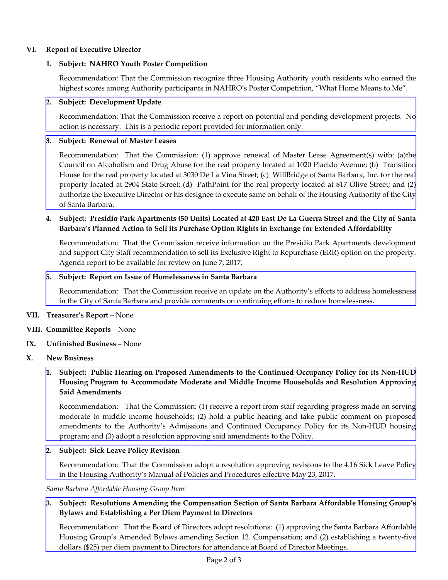### **VI. Report of Executive Director**

#### **1. Subject: NAHRO Youth Poster Competition**

Recommendation: That the Commission recognize three Housing Authority youth residents who earned the highest scores among Authority participants in NAHRO's Poster Competition, "What Home Means to Me".

#### **2. Subject: Development Update**

[Recommendation:](http://hacsb.org/download/meetings_2017/items/06_june/item_VI_II_2017_06_07.pdf) That the Commission receive a report on potential and pending development projects. No action is necessary. This is a periodic report provided for information only.

### **3. Subject: Renewal of Master Leases**

[Recommendation:](http://hacsb.org/download/meetings_2017/items/06_june/item_VI_III_2017_06_07.pdf) That the Commission: (1) approve renewal of Master Lease Agreement(s) with: (a)the Council on Alcoholism and Drug Abuse for the real property located at 1020 Placido Avenue; (b) Transition House for the real property located at 3030 De La Vina Street; (c) WillBridge of Santa Barbara, Inc. for the real property located at 2904 State Street; (d) PathPoint for the real property located at 817 Olive Street; and (2) authorize the Executive Director or his designee to execute same on behalf of the Housing Authority of the City of Santa Barbara.

### 4. Subject: Presidio Park Apartments (50 Units) Located at 420 East De La Guerra Street and the City of Santa **Barbara's Planned Action to Sell its Purchase Option Rights in Exchange for Extended Affordability**

Recommendation: That the Commission receive information on the Presidio Park Apartments development and support City Staff recommendation to sell its Exclusive Right to Repurchase (ERR) option on the property. Agenda report to be available for review on June 7, 2017.

#### **5. Subject: Report on Issue of Homelessness in Santa Barbara**

[Recommendation:](http://hacsb.org/download/meetings_2017/items/06_june/item_VI_V_2017_06_07.pdf) That the Commission receive an update on the Authority's efforts to address homelessness in the City of Santa Barbara and provide comments on continuing efforts to reduce homelessness.

#### **VII. Treasurer's Report** – None

- **VIII. Committee Reports** None
- **IX. Unfinished Business** None
- **X. New Business**

## 1. Subject: Public Hearing on Proposed Amendments to the Continued Occupancy Policy for its Non-HUD **Housing Program to Accommodate Moderate and Middle Income Households and Resolution Approving Said Amendments**

[Recommendation:](http://hacsb.org/download/meetings_2017/items/06_june/item_X_I_2017_06_07.pdf) That the Commission: (1) receive a report from staff regarding progress made on serving moderate to middle income households; (2) hold a public hearing and take public comment on proposed amendments to the Authority's Admissions and Continued Occupancy Policy for its Non‐HUD housing program; and (3) adopt a resolution approving said amendments to the Policy.

### **2. Subject: Sick Leave Policy Revision**

[Recommendation:](http://hacsb.org/download/meetings_2017/items/06_june/item_X_II_2017_06_07.pdf) That the Commission adopt a resolution approving revisions to the 4.16 Sick Leave Policy in the Housing Authority's Manual of Policies and Procedures effective May 23, 2017.

*Santa Barbara Affordable Housing Group Item:*

## **3. Subject: Resolutions Amending the Compensation Section of Santa Barbara Affordable Housing Group's Bylaws and Establishing a Per Diem Payment to Directors**

[Recommendation:](http://hacsb.org/download/meetings_2017/items/06_june/item_X_III_2017_06_07.pdf) That the Board of Directors adopt resolutions: (1) approving the Santa Barbara Affordable Housing Group's Amended Bylaws amending Section 12. Compensation; and (2) establishing a twenty‐five dollars (\$25) per diem payment to Directors for attendance at Board of Director Meetings.